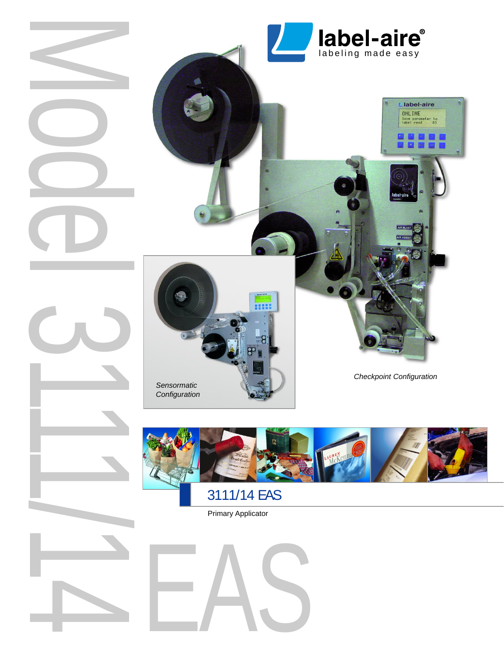



Primary Applicator

EAS